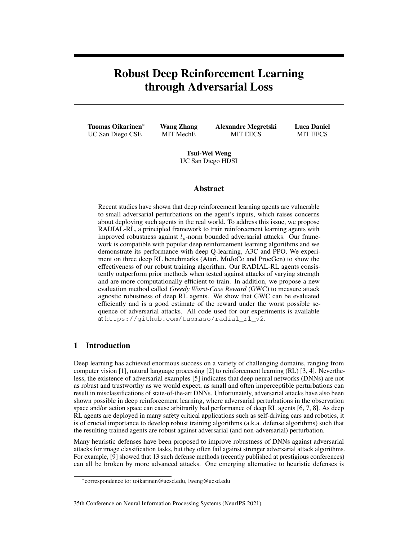# Robust Deep Reinforcement Learning through Adversarial Loss

Tuomas Oikarinen<sup>∗</sup> UC San Diego CSE

Wang Zhang MIT MechE

Alexandre Megretski MIT EECS

Luca Daniel MIT EECS

Tsui-Wei Weng UC San Diego HDSI

## Abstract

Recent studies have shown that deep reinforcement learning agents are vulnerable to small adversarial perturbations on the agent's inputs, which raises concerns about deploying such agents in the real world. To address this issue, we propose RADIAL-RL, a principled framework to train reinforcement learning agents with improved robustness against  $l_p$ -norm bounded adversarial attacks. Our framework is compatible with popular deep reinforcement learning algorithms and we demonstrate its performance with deep Q-learning, A3C and PPO. We experiment on three deep RL benchmarks (Atari, MuJoCo and ProcGen) to show the effectiveness of our robust training algorithm. Our RADIAL-RL agents consistently outperform prior methods when tested against attacks of varying strength and are more computationally efficient to train. In addition, we propose a new evaluation method called *Greedy Worst-Case Reward* (GWC) to measure attack agnostic robustness of deep RL agents. We show that GWC can be evaluated efficiently and is a good estimate of the reward under the worst possible sequence of adversarial attacks. All code used for our experiments is available at https://github.com/tuomaso/radial\_rl\_v2.

# 1 Introduction

Deep learning has achieved enormous success on a variety of challenging domains, ranging from computer vision [1], natural language processing [2] to reinforcement learning (RL) [3, 4]. Nevertheless, the existence of adversarial examples [5] indicates that deep neural networks (DNNs) are not as robust and trustworthy as we would expect, as small and often imperceptible perturbations can result in misclassifications of state-of-the-art DNNs. Unfortunately, adversarial attacks have also been shown possible in deep reinforcement learning, where adversarial perturbations in the observation space and/or action space can cause arbitrarily bad performance of deep RL agents [6, 7, 8]. As deep RL agents are deployed in many safety critical applications such as self-driving cars and robotics, it is of crucial importance to develop robust training algorithms (a.k.a. defense algorithms) such that the resulting trained agents are robust against adversarial (and non-adversarial) perturbation.

Many heuristic defenses have been proposed to improve robustness of DNNs against adversarial attacks for image classification tasks, but they often fail against stronger adversarial attack algorithms. For example, [9] showed that 13 such defense methods (recently published at prestigious conferences) can all be broken by more advanced attacks. One emerging alternative to heuristic defenses is

#### 35th Conference on Neural Information Processing Systems (NeurIPS 2021).

<sup>∗</sup> correspondence to: toikarinen@ucsd.edu, lweng@ucsd.edu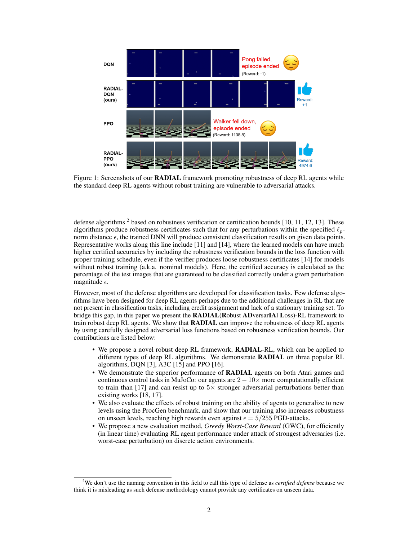

Figure 1: Screenshots of our **RADIAL** framework promoting robustness of deep RL agents while the standard deep RL agents without robust training are vulnerable to adversarial attacks.

defense algorithms  $2$  based on robustness verification or certification bounds [10, 11, 12, 13]. These algorithms produce robustness certificates such that for any perturbations within the specified  $\ell_p$ norm distance  $\epsilon$ , the trained DNN will produce consistent classification results on given data points. Representative works along this line include [11] and [14], where the learned models can have much higher certified accuracies by including the robustness verification bounds in the loss function with proper training schedule, even if the verifier produces loose robustness certificates [14] for models without robust training (a.k.a. nominal models). Here, the certified accuracy is calculated as the percentage of the test images that are guaranteed to be classified correctly under a given perturbation magnitude  $\epsilon$ .

However, most of the defense algorithms are developed for classification tasks. Few defense algorithms have been designed for deep RL agents perhaps due to the additional challenges in RL that are not present in classification tasks, including credit assignment and lack of a stationary training set. To bridge this gap, in this paper we present the RADIAL(Robust ADversarIAl Loss)-RL framework to train robust deep RL agents. We show that **RADIAL** can improve the robustness of deep RL agents by using carefully designed adversarial loss functions based on robustness verification bounds. Our contributions are listed below:

- We propose a novel robust deep RL framework, RADIAL-RL, which can be applied to different types of deep RL algorithms. We demonstrate RADIAL on three popular RL algorithms, DQN [3], A3C [15] and PPO [16].
- We demonstrate the superior performance of RADIAL agents on both Atari games and continuous control tasks in MuJoCo: our agents are  $2 - 10 \times$  more computationally efficient to train than [17] and can resist up to  $5\times$  stronger adversarial perturbations better than existing works [18, 17].
- We also evaluate the effects of robust training on the ability of agents to generalize to new levels using the ProcGen benchmark, and show that our training also increases robustness on unseen levels, reaching high rewards even against  $\epsilon = 5/255$  PGD-attacks.
- We propose a new evaluation method, *Greedy Worst-Case Reward* (GWC), for efficiently (in linear time) evaluating RL agent performance under attack of strongest adversaries (i.e. worst-case perturbation) on discrete action environments.

<sup>2</sup>We don't use the naming convention in this field to call this type of defense as *certified defense* because we think it is misleading as such defense methodology cannot provide any certificates on unseen data.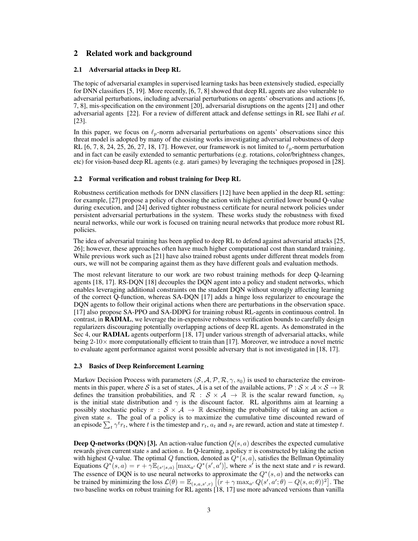## 2 Related work and background

## 2.1 Adversarial attacks in Deep RL

The topic of adversarial examples in supervised learning tasks has been extensively studied, especially for DNN classifiers [5, 19]. More recently, [6, 7, 8] showed that deep RL agents are also vulnerable to adversarial perturbations, including adversarial perturbations on agents' observations and actions [6, 7, 8], mis-specification on the environment [20], adversarial disruptions on the agents [21] and other adversarial agents [22]. For a review of different attack and defense settings in RL see Ilahi *et al.* [23].

In this paper, we focus on  $\ell_p$ -norm adversarial perturbations on agents' observations since this threat model is adopted by many of the existing works investigating adversarial robustness of deep RL [6, 7, 8, 24, 25, 26, 27, 18, 17]. However, our framework is not limited to  $\ell_p$ -norm perturbation and in fact can be easily extended to semantic perturbations (e.g. rotations, color/brightness changes, etc) for vision-based deep RL agents (e.g. atari games) by leveraging the techniques proposed in [28].

## 2.2 Formal verification and robust training for Deep RL

Robustness certification methods for DNN classifiers [12] have been applied in the deep RL setting: for example, [27] propose a policy of choosing the action with highest certified lower bound Q-value during execution, and [24] derived tighter robustness certificate for neural network policies under persistent adversarial perturbations in the system. These works study the robustness with fixed neural networks, while our work is focused on training neural networks that produce more robust RL policies.

The idea of adversarial training has been applied to deep RL to defend against adversarial attacks [25, 26]; however, these approaches often have much higher computational cost than standard training. While previous work such as [21] have also trained robust agents under different threat models from ours, we will not be comparing against them as they have different goals and evaluation methods.

The most relevant literature to our work are two robust training methods for deep Q-learning agents [18, 17]. RS-DQN [18] decouples the DQN agent into a policy and student networks, which enables leveraging additional constraints on the student DQN without strongly affecting learning of the correct Q-function, whereas SA-DQN [17] adds a hinge loss regularizer to encourage the DQN agents to follow their original actions when there are perturbations in the observation space. [17] also propose SA-PPO and SA-DDPG for training robust RL-agents in continuous control. In contrast, in RADIAL, we leverage the in-expensive robustness verification bounds to carefully design regularizers discouraging potentially overlapping actions of deep RL agents. As demonstrated in the Sec 4, our RADIAL agents outperform [18, 17] under various strength of adversarial attacks, while being  $2\textrm{-}10\times$  more computationally efficient to train than [17]. Moreover, we introduce a novel metric to evaluate agent performance against worst possible adversary that is not investigated in [18, 17].

## 2.3 Basics of Deep Reinforcement Learning

Markov Decision Process with parameters  $(S, A, P, R, \gamma, s_0)$  is used to characterize the environments in this paper, where S is a set of states, A is a set of the available actions,  $\mathcal{P}: \mathcal{S} \times \mathcal{A} \times \mathcal{S} \to \mathbb{R}$ defines the transition probabilities, and  $\mathcal{R}$  :  $\mathcal{S} \times \mathcal{A} \rightarrow \mathbb{R}$  is the scalar reward function,  $s_0$ is the initial state distribution and  $\gamma$  is the discount factor. RL algorithms aim at learning a possibly stochastic policy  $\pi : \mathcal{S} \times \mathcal{A} \to \mathbb{R}$  describing the probability of taking an action a given state s. The goal of a policy is to maximize the cumulative time discounted reward of an episode  $\sum_t \gamma^t r_t$ , where t is the timestep and  $r_t$ ,  $a_t$  and  $s_t$  are reward, action and state at timestep t.

**Deep Q-networks (DQN) [3].** An action-value function  $Q(s, a)$  describes the expected cumulative rewards given current state s and action a. In Q-learning, a policy  $\pi$  is constructed by taking the action with highest Q-value. The optimal Q function, denoted as  $Q^*(s, a)$ , satisfies the Bellman Optimality Equations  $Q^*(s, a) = r + \gamma \mathbb{E}_{(s'|s, a)} [\max_{a'} Q^*(s', a')]$ , where s' is the next state and r is reward. The essence of DQN is to use neural networks to approximate the  $Q^*(s, a)$  and the networks can be trained by minimizing the loss  $\mathcal{L}(\theta) = \mathbb{E}_{(s,a,s',r)} \left[ (r + \gamma \max_{a'} Q(s',a';\theta) - Q(s,a;\theta))^2 \right]$ . The two baseline works on robust training for RL agents [18, 17] use more advanced versions than vanilla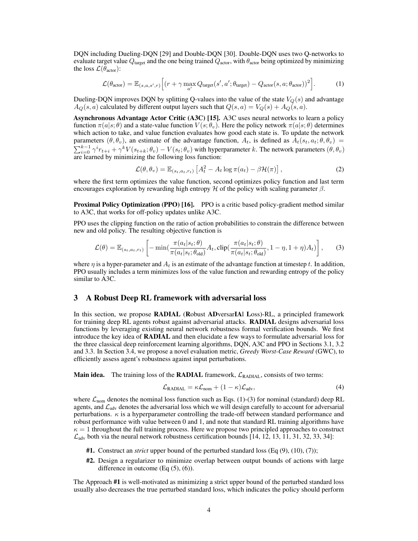DQN including Dueling-DQN [29] and Double-DQN [30]. Double-DQN uses two Q-networks to evaluate target value  $Q_{\text{target}}$  and the one being trained  $Q_{\text{actor}}$ , with  $\theta_{\text{actor}}$  being optimized by minimizing the loss  $\mathcal{L}(\bar{\theta}_{\text{actor}})$ :

$$
\mathcal{L}(\theta_{\text{actor}}) = \mathbb{E}_{(s,a,s',r)} \Big[ (r + \gamma \max_{a'} Q_{\text{target}}(s',a';\theta_{\text{target}}) - Q_{\text{actor}}(s,a;\theta_{\text{actor}}))^2 \Big]. \tag{1}
$$

Dueling-DQN improves DQN by splitting Q-values into the value of the state  $V<sub>Q</sub>(s)$  and advantage  $A_Q(s, a)$  calculated by different output layers such that  $Q(s, a) = V_Q(s) + A_Q(s, a)$ .

Asynchronous Advantage Actor Critic (A3C) [15]. A3C uses neural networks to learn a policy function  $\pi(a|s; \theta)$  and a state-value function  $V(s; \theta_v)$ . Here the policy network  $\pi(a|s; \theta)$  determines which action to take, and value function evaluates how good each state is. To update the network parameters  $(\theta, \theta_v)$ , an estimate of the advantage function,  $A_t$ , is defined as  $A_t(s_t, a_t; \theta, \theta_v)$  $\sum_{i=0}^{k-1} \gamma^i r_{t+i} + \gamma^k V(s_{t+k}; \theta_v) - V(s_t; \theta_v)$  with hyperparameter k. The network parameters  $(\theta, \theta_v)$ are learned by minimizing the following loss function:

$$
\mathcal{L}(\theta, \theta_v) = \mathbb{E}_{(s_t, a_t, r_t)} \left[ A_t^2 - A_t \log \pi(a_t) - \beta \mathcal{H}(\pi) \right],
$$
 (2)

where the first term optimizes the value function, second optimizes policy function and last term encourages exploration by rewarding high entropy H of the policy with scaling parameter  $\beta$ .

Proximal Policy Optimization (PPO) [16]. PPO is a critic based policy-gradient method similar to A3C, that works for off-policy updates unlike A3C.

PPO uses the clipping function on the ratio of action probabilities to constrain the difference between new and old policy. The resulting objective function is

$$
\mathcal{L}(\theta) = \mathbb{E}_{(s_t, a_t, r_t)} \left[ -\min(\frac{\pi(a_t|s_t; \theta)}{\pi(a_t|s_t; \theta_{old})} A_t, \text{clip}(\frac{\pi(a_t|s_t; \theta)}{\pi(a_t|s_t; \theta_{old})}, 1 - \eta, 1 + \eta) A_t) \right],\tag{3}
$$

where  $\eta$  is a hyper-parameter and  $A_t$  is an estimate of the advantage function at timestep t. In addition, PPO usually includes a term minimizes loss of the value function and rewarding entropy of the policy similar to A3C.

## 3 A Robust Deep RL framework with adversarial loss

In this section, we propose RADIAL (Robust ADversarIAl Loss)-RL, a principled framework for training deep RL agents robust against adversarial attacks. RADIAL designs adversarial loss functions by leveraging existing neural network robustness formal verification bounds. We first introduce the key idea of RADIAL and then elucidate a few ways to formulate adversarial loss for the three classical deep reinforcement learning algorithms, DQN, A3C and PPO in Sections 3.1, 3.2 and 3.3. In Section 3.4, we propose a novel evaluation metric, *Greedy Worst-Case Reward* (GWC), to efficiently assess agent's robustness against input perturbations.

**Main idea.** The training loss of the **RADIAL** framework,  $\mathcal{L}_{\text{RADIAL}}$ , consists of two terms:

$$
\mathcal{L}_{\text{RADIAL}} = \kappa \mathcal{L}_{\text{nom}} + (1 - \kappa) \mathcal{L}_{\text{adv}},\tag{4}
$$

where  $\mathcal{L}_{nom}$  denotes the nominal loss function such as Eqs. (1)-(3) for nominal (standard) deep RL agents, and  $\mathcal{L}_{\text{adv}}$  denotes the adversarial loss which we will design carefully to account for adversarial perturbations.  $\kappa$  is a hyperparameter controlling the trade-off between standard performance and robust performance with value between 0 and 1, and note that standard RL training algorithms have  $\kappa = 1$  throughout the full training process. Here we propose two principled approaches to construct  $\mathcal{L}_{\text{adv}}$  both via the neural network robustness certification bounds [14, 12, 13, 11, 31, 32, 33, 34]:

- #1. Construct an *strict* upper bound of the perturbed standard loss (Eq (9), (10), (7));
- #2. Design a regularizer to minimize overlap between output bounds of actions with large difference in outcome  $(Eq(5), (6))$ .

The Approach #1 is well-motivated as minimizing a strict upper bound of the perturbed standard loss usually also decreases the true perturbed standard loss, which indicates the policy should perform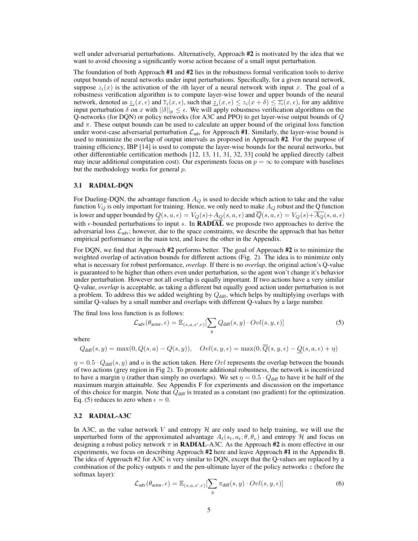well under adversarial perturbations. Alternatively, Approach #2 is motivated by the idea that we want to avoid choosing a significantly worse action because of a small input perturbation.

The foundation of both Approach #1 and #2 lies in the robustness formal verification tools to derive output bounds of neural networks under input perturbations. Specifically, for a given neural network, suppose  $z_i(x)$  is the activation of the *i*th layer of a neural network with input x. The goal of a robustness verification algorithm is to compute layer-wise lower and upper bounds of the neural network, denoted as  $\underline{z}_i(x,\epsilon)$  and  $\overline{z}_i(x,\epsilon)$ , such that  $\underline{z}_i(x,\epsilon) \leq z_i(x+\delta) \leq \overline{z}_i(x,\epsilon)$ , for any additive input perturbation  $\delta$  on x with  $||\delta||_p \leq \epsilon$ . We will apply robustness verification algorithms on the Q-networks (for DQN) or policy networks (for A3C and PPO) to get layer-wise output bounds of Q and  $\pi$ . These output bounds can be used to calculate an upper bound of the original loss function under worst-case adversarial perturbation  $\mathcal{L}_{adv}$  for Approach #1. Similarly, the layer-wise bound is used to minimize the overlap of output intervals as proposed in Approach #2. For the purpose of training efficiency, IBP [14] is used to compute the layer-wise bounds for the neural networks, but other differentiable certification methods [12, 13, 11, 31, 32, 33] could be applied directly (albeit may incur additional computation cost). Our experiments focus on  $p = \infty$  to compare with baselines but the methodology works for general  $p$ .

#### 3.1 RADIAL-DQN

For Dueling-DQN, the advantage function  $A_Q$  is used to decide which action to take and the value function  $V_Q$  is only important for training. Hence, we only need to make  $A_Q$  robust and the Q function is lower and upper bounded by  $Q(s, a, \epsilon) = V_Q(s) + A_Q(s, a, \epsilon)$  and  $\overline{Q}(s, a, \epsilon) = V_Q(s) + \overline{A_Q}(s, a, \epsilon)$ with  $\epsilon$ -bounded perturbations to input s. In **RADIAL** we proposde two approaches to derive the adversarial loss  $\mathcal{L}_{adv}$ ; however, due to the space constraints, we describe the approach that has better empirical performance in the main text, and leave the other in the Appendix.

For DQN, we find that Approach #2 performs better. The goal of Approach #2 is to minimize the weighted overlap of activation bounds for different actions (Fig. 2). The idea is to minimize only what is necessary for robust performance, *overlap*. If there is no *overlap*, the original action's Q-value is guaranteed to be higher than others even under perturbation, so the agent won't change it's behavior under perturbation. However not all overlap is equally important. If two actions have a very similar Q-value, *overlap* is acceptable, as taking a different but equally good action under perturbation is not a problem. To address this we added weighting by  $Q<sub>diff</sub>$ , which helps by multiplying overlaps with similar Q-values by a small number and overlaps with different Q-values by a large number.

The final loss loss function is as follows:

$$
\mathcal{L}_{\text{adv}}(\theta_{\text{actor}}, \epsilon) = \mathbb{E}_{(s, a, s', r)}[\sum_{y} Q_{\text{diff}}(s, y) \cdot Ovl(s, y, \epsilon)] \tag{5}
$$

where

$$
Q_{\text{diff}}(s,y) = \max(0,Q(s,a)-Q(s,y)), \quad Ovl(s,y,\epsilon) = \max(0,\overline{Q}(s,y,\epsilon)-\underline{Q}(s,a,\epsilon)+\eta)
$$

 $\eta = 0.5 \cdot Q_{\text{diff}}(s, y)$  and a is the action taken. Here Ovl represents the overlap between the bounds of two actions (grey region in Fig 2). To promote additional robustness, the network is incentivized to have a margin  $\eta$  (rather than simply no overlaps). We set  $\eta = 0.5 \cdot Q_{\text{diff}}$  to have it be half of the maximum margin attainable. See Appendix F for experiments and discussion on the importance of this choice for margin. Note that  $Q<sub>diff</sub>$  is treated as a constant (no gradient) for the optimization. Eq. (5) reduces to zero when  $\epsilon = 0$ .

#### 3.2 RADIAL-A3C

In A3C, as the value network V and entropy  $H$  are only used to help training, we will use the unperturbed form of the approximated advantage  $A_t(s_t, a_t; \theta, \theta_v)$  and entropy H and focus on designing a robust policy network  $\pi$  in **RADIAL**-A3C. As the Approach #2 is more effective in our experiments, we focus on describing Approach #2 here and leave Approach #1 in the Appendix B. The idea of Approach #2 for A3C is very similar to DQN, except that the Q-values are replaced by a combination of the policy outputs  $\pi$  and the pen-ultimate layer of the policy networks z (before the softmax layer):

$$
\mathcal{L}_{\text{adv}}(\theta_{\text{actor}}, \epsilon) = \mathbb{E}_{(s, a, s', r)}[\sum_{y} \pi_{\text{diff}}(s, y) \cdot Ovl(s, y, \epsilon)] \tag{6}
$$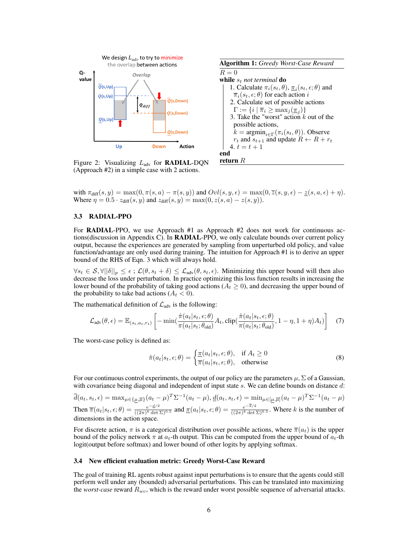

Figure 2: Visualizing  $L_{\text{adv}}$  for **RADIAL-DQN** (Approach #2) in a simple case with 2 actions.



with  $\pi_{diff}(s, y) = \max(0, \pi(s, a) - \pi(s, y))$  and  $Ovl(s, y, \epsilon) = \max(0, \overline{z}(s, y, \epsilon) - \underline{z}(s, a, \epsilon) + \eta)$ . Where  $\eta = 0.5 \cdot z_{diff}(s, y)$  and  $z_{diff}(s, y) = \max(0, z(s, a) - z(s, y))$ .

#### 3.3 RADIAL-PPO

For RADIAL-PPO, we use Approach #1 as Approach #2 does not work for continuous actions(discussion in Appendix C). In RADIAL-PPO, we only calculate bounds over current policy output, because the experiences are generated by sampling from unperturbed old policy, and value function/advantage are only used during training. The intuition for Approach #1 is to derive an upper bound of the RHS of Eqn. 3 which will always hold.

 $\forall s_t \in S, \forall ||\delta||_p \leq \epsilon$ ;  $\mathcal{L}(\theta, s_t + \delta) \leq \mathcal{L}_{adv}(\theta, s_t, \epsilon)$ . Minimizing this upper bound will then also decrease the loss under perturbation. In practice optimizing this loss function results in increasing the lower bound of the probability of taking good actions ( $A_t \ge 0$ ), and decreasing the upper bound of the probability to take bad actions  $(A_t < 0)$ .

The mathematical definition of  $\mathcal{L}_{\text{adv}}$  is the following:

$$
\mathcal{L}_{\text{adv}}(\theta, \epsilon) = \mathbb{E}_{(s_t, a_t, r_t)} \left[ -\min\left( \frac{\hat{\pi}(a_t | s_t, \epsilon; \theta)}{\pi(a_t | s_t; \theta_{\text{old}})} A_t, \text{clip}\left( \frac{\hat{\pi}(a_t | s_t, \epsilon; \theta)}{\pi(a_t | s_t; \theta_{\text{old}})} , 1 - \eta, 1 + \eta \right) A_t \right) \right]
$$
(7)

The worst-case policy is defined as:

$$
\hat{\pi}(a_t|s_t, \epsilon; \theta) = \begin{cases} \frac{\pi(a_t|s_t, \epsilon; \theta)}{\pi(a_t|s_t, \epsilon; \theta)}, & \text{if } A_t \ge 0\\ 0, & \text{otherwise} \end{cases}
$$
\n(8)

For our continuous control experiments, the output of our policy are the parameters  $\mu$ ,  $\Sigma$  of a Gaussian, with covariance being diagonal and independent of input state  $s$ . We can define bounds on distance  $d$ :

 $\overline{d}(a_t, s_t, \epsilon) = \max_{\mu \in {\{\mu, \overline{\mu}\}}}(a_t - \mu)^T \Sigma^{-1}(a_t - \mu), \underline{d}(a_t, s_t, \epsilon) = \min_{\mu \in {\{\mu, \overline{\mu}\}}}(a_t - \mu)^T \Sigma^{-1}(a_t - \mu)$ Then  $\overline{\pi}(a_t|s_t, \epsilon; \theta) = \frac{e^{-\frac{d}{2}}}{\sqrt{2\pi} \sqrt{\frac{k}{\det}}}$  $\frac{e^{-d/2}}{((2\pi)^k \det \Sigma)^{0.5}}$  and  $\underline{\pi}(a_t|s_t,\epsilon;\theta) = \frac{e^{-\overline{d}/2}}{((2\pi)^k \det \Sigma)^{0.5}}$  $\frac{e^{-\alpha/2}}{((2\pi)^k \det \Sigma)^{0.5}}$ . Where k is the number of dimensions in the action space.

For discrete action,  $\pi$  is a categorical distribution over possible actions, where  $\bar{\pi}(a_t)$  is the upper bound of the policy network  $\pi$  at  $a_t$ -th output. This can be computed from the upper bound of  $a_t$ -th logit(output before softmax) and lower bound of other logits by applying softmax.

#### 3.4 New efficient evaluation metric: Greedy Worst-Case Reward

The goal of training RL agents robust against input perturbations is to ensure that the agents could still perform well under any (bounded) adversarial perturbations. This can be translated into maximizing the *worst-case* reward Rwc, which is the reward under worst possible sequence of adversarial attacks.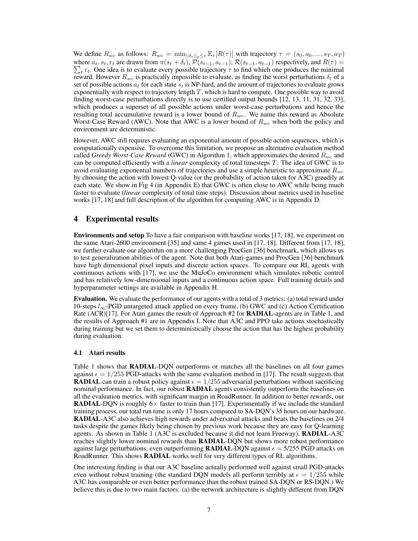We define  $R_{wc}$  as follows:  $R_{wc} = \min_{\|\delta_t\|_p \leq \epsilon} \mathbb{E}_{\tau}[R(\tau)]$  with trajectory  $\tau = (s_0, a_0, ..., s_T, a_T)$ where  $a_t$ ,  $s_t$ ,  $r_t$  are drawn from  $\pi(s_t + \delta_t)$ ,  $\mathcal{P}(s_{t-1}, a_{t-1})$ ,  $\mathcal{R}(s_{t-1}, a_{t-1})$  respectively, and  $R(\tau)$  $\sum_t r_t$ . One idea is to evaluate every possible trajectory  $\tau$  to find which one produces the minimal reward. However  $R_{wc}$  is practically impossible to evaluate, as finding the worst perturbations  $\delta_t$  of a set of possible actions  $a_t$  for each state  $s_t$  is NP-hard, and the amount of trajectories to evaluate grows exponentially with respect to trajectory length  $T$ , which is hard to compute. One possible way to avoid finding worst-case perturbations directly is to use certified output bounds [12, 13, 11, 31, 32, 33], which produces a superset of all possible actions under worst-case perturbations and hence the resulting total accumulative reward is a lower bound of  $R_{wc}$ . We name this reward as Absolute Worst-Case Reward (AWC). Note that AWC is a lower bound of  $R_{wc}$  when both the policy and environment are deterministic.

However, AWC still requires evaluating an exponential amount of possible action sequences, which is computationally expensive. To overcome this limitation, we propose an alternative evaluation method called *Greedy Worst-Case Reward* (GWC) in Algorithm 1, which approximates the desired  $R_{wc}$  and can be computed efficiently with a *linear* complexity of total timesteps T. The idea of GWC is to avoid evaluating exponential numbers of trajectories and use a simple heuristic to approximate  $R_{wc}$ by choosing the action with lowest Q-value (or the probability of action taken for A3C) greedily at each state. We show in Fig 4 (in Appendix E) that GWC is often close to AWC while being much faster to evaluate (*linear* complexity of total time steps). Discussion about metrics used in baseline works [17, 18] and full description of the algorithm for computing AWC is in Appendix D.

## 4 Experimental results

Environments and setup To have a fair comparison with baseline works [17, 18], we experiment on the same Atari-2600 environment [35] and same 4 games used in [17, 18]. Different from [17, 18], we further evaluate our algorithm on a more challenging ProcGen [36] benchmark, which allows us to test generalization abilities of the agent. Note that both Atari-games and ProcGen [36] benchmark have high dimensional pixel inputs and discrete action spaces. To compare our RL agents with continuous actions with [17], we use the MuJoCo environment which simulates robotic control and has relatively low-dimensional inputs and a continuous action space. Full training details and hyperparameter settings are available in Appendix H.

Evaluation. We evaluate the performance of our agents with a total of 3 metrics: (a) total reward under 10-steps  $l_{\infty}$ -PGD untargeted attack applied on every frame, (b) GWC and (c) Action Certification Rate (ACR)[17]. For Atari games the result of Approach #2 for **RADIAL**-agents are in Table 1, and the results of Approach #1 are in Appendix I. Note that A3C and PPO take actions stochastically during training but we set them to deterministically choose the action that has the highest probability during evaluation.

#### 4.1 Atari results

Table 1 shows that RADIAL-DQN outperforms or matches all the baselines on all four games against  $\epsilon = 1/255$  PGD-attacks with the same evaluation method in [17]. The result suggests that **RADIAL** can train a robust policy against  $\epsilon = 1/255$  adversarial perturbations without sacrificing nominal performance. In fact, our robust **RADIAL** agents consistently outperform the baselines on all the evaluation metrics, with significant margin in RoadRunner. In addition to better rewards, our **RADIAL-DON** is roughly  $6 \times$  faster to train than [17]. Experimentally if we include the standard training process, our total run time is only 17 hours compared to SA-DQN's 35 hours on our hardware. RADIAL-A3C also achieves high rewards under adversarial attacks and beats the baselines on 2/4 tasks despite the games likely being chosen by previous work because they are easy for Q-learning agents. As shown in Table 1 (A3C is excluded because it did not learn Freeway), RADIAL-A3C reaches slightly lower nominal rewards than **RADIAL-DQN** but shows more robust performance against large perturbations, even outperforming **RADIAL-DON** against  $\epsilon = 5/255$  PGD attacks on RoadRunner. This shows RADIAL works well for very different types of RL algorithms.

One interesting finding is that our A3C baseline actually performed well against small PGD-attacks even without robust training (the standard DQN models all perform terribly at  $\epsilon = 1/255$  while A3C has comparable or even better performance than the robust trained SA-DQN or RS-DQN.) We believe this is due to two main factors: (a) the network architecture is slightly different from DQN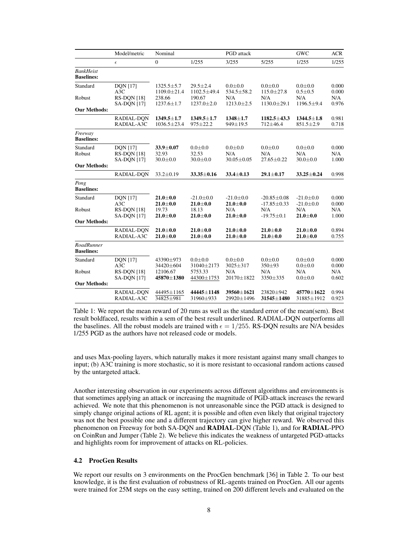|                                        | Model/metric                                         | Nominal                               |                                        | PGD attack                             |                                        | <b>GWC</b>                           | <b>ACR</b>            |
|----------------------------------------|------------------------------------------------------|---------------------------------------|----------------------------------------|----------------------------------------|----------------------------------------|--------------------------------------|-----------------------|
|                                        | $\epsilon$                                           | $\boldsymbol{0}$                      | 1/255                                  | 3/255                                  | 5/255                                  | 1/255                                | 1/255                 |
| <b>BankHeist</b><br><b>Baselines:</b>  |                                                      |                                       |                                        |                                        |                                        |                                      |                       |
| Standard                               | <b>DQN</b> [17]<br>A3C                               | $1325.5 \pm 5.7$<br>1109.0±21.4       | $29.5 \pm 2.4$<br>1102.5±49.4          | $0.0 + 0.0$<br>$534.5 \pm 58.2$        | $0.0 + 0.0$<br>$115.0 \pm 27.8$        | $0.0 + 0.0$<br>$0.5 + 0.5$           | 0.000<br>0.000        |
| Robust                                 | RS-DQN [18]<br><b>SA-DON</b> [17]                    | 238.66<br>$1237.6 \pm 1.7$            | 190.67<br>$1237.0 \pm 2.0$             | N/A<br>$1213.0 \pm 2.5$                | N/A<br>$1130.0 \pm 29.1$               | N/A<br>$1196.5 \pm 9.4$              | N/A<br>0.976          |
| <b>Our Methods:</b>                    |                                                      |                                       |                                        |                                        |                                        |                                      |                       |
|                                        | RADIAL-DQN<br>RADIAL-A3C                             | $1349.5 \pm 1.7$<br>$1036.5 \pm 23.4$ | $1349.5 \pm 1.7$<br>$975 \pm 22.2$     | $1348 + 1.7$<br>$949 \pm 19.5$         | $1182.5 \pm 43.3$<br>$712\pm46.4$      | $1344.5 \pm 1.8$<br>$851.5 \pm 2.9$  | 0.981<br>0.718        |
| Freeway<br><b>Baselines:</b>           |                                                      |                                       |                                        |                                        |                                        |                                      |                       |
| Standard<br>Robust                     | <b>DQN</b> [17]<br>RS-DQN [18]<br><b>SA-DON</b> [17] | 33.9±0.07<br>32.93<br>$30.0 \pm 0.0$  | $0.0 + 0.0$<br>32.53<br>$30.0 \pm 0.0$ | $0.0 + 0.0$<br>N/A<br>$30.05 \pm 0.05$ | $0.0 + 0.0$<br>N/A<br>$27.65 \pm 0.22$ | $0.0 + 0.0$<br>N/A<br>$30.0 \pm 0.0$ | 0.000<br>N/A<br>1.000 |
| <b>Our Methods:</b>                    |                                                      |                                       |                                        |                                        |                                        |                                      |                       |
|                                        | RADIAL-DON                                           | $33.2 \pm 0.19$                       | $33.35 \pm 0.16$                       | $33.4 \pm 0.13$                        | $29.1 \pm 0.17$                        | $33.25 \pm 0.24$                     | 0.998                 |
| Pong<br><b>Baselines:</b>              |                                                      |                                       |                                        |                                        |                                        |                                      |                       |
| Standard                               | <b>DQN</b> [17]<br>A3C                               | $21.0 \pm 0.0$<br>$21.0 \pm 0.0$      | $-21.0 \pm 0.0$<br>$21.0 \pm 0.0$      | $-21.0 \pm 0.0$<br>$21.0 \pm 0.0$      | $-20.85 \pm 0.08$<br>$-17.85 \pm 0.33$ | $-21.0 \pm 0.0$<br>$-21.0 \pm 0.0$   | 0.000<br>0.000        |
| Robust                                 | <b>RS-DON [18]</b><br><b>SA-DON</b> [17]             | 19.73<br>$21.0 \pm 0.0$               | 18.13<br>$21.0 \pm 0.0$                | N/A<br>$21.0 \pm 0.0$                  | N/A<br>$-19.75 \pm 0.1$                | N/A<br>$21.0 \pm 0.0$                | N/A<br>1.000          |
| <b>Our Methods:</b>                    |                                                      |                                       |                                        |                                        |                                        |                                      |                       |
|                                        | RADIAL-DQN<br>RADIAL-A3C                             | $21.0 \pm 0.0$<br>$21.0 \pm 0.0$      | $21.0 \pm 0.0$<br>$21.0 \pm 0.0$       | $21.0 \pm 0.0$<br>$21.0 \pm 0.0$       | $21.0 \pm 0.0$<br>$21.0 \pm 0.0$       | $21.0 \pm 0.0$<br>$21.0 \pm 0.0$     | 0.894<br>0.755        |
| <b>RoadRunner</b><br><b>Baselines:</b> |                                                      |                                       |                                        |                                        |                                        |                                      |                       |
| Standard                               | <b>DQN</b> [17]<br>A3C                               | 43390±973<br>34420±604                | $0.0 + 0.0$<br>31040±2173              | $0.0 + 0.0$<br>$3025 \pm 317$          | $0.0 + 0.0$<br>$350 + 93$              | $0.0 + 0.0$<br>$0.0 + 0.0$           | 0.000<br>0.000        |
| Robust                                 | RS-DQN [18]<br><b>SA-DON</b> [17]                    | 12106.67<br>45870±1380                | 5753.33<br>44300±1753                  | N/A<br>$20170 \pm 1822$                | N/A<br>3350±335                        | N/A<br>$0.0 + 0.0$                   | N/A<br>0.602          |
| <b>Our Methods:</b>                    |                                                      |                                       |                                        |                                        |                                        |                                      |                       |
|                                        | RADIAL-DQN<br>RADIAL-A3C                             | 44495±1165<br>34825±981               | 44445±1148<br>31960±933                | 39560±1621<br>29920±1496               | 23820±942<br>31545±1480                | 45770±1622<br>31885±1912             | 0.994<br>0.923        |

Table 1: We report the mean reward of 20 runs as well as the standard error of the mean(sem). Best result boldfaced, results within a sem of the best result underlined. RADIAL-DQN outperforms all the baselines. All the robust models are trained with  $\epsilon = 1/255$ . RS-DQN results are N/A besides 1/255 PGD as the authors have not released code or models.

and uses Max-pooling layers, which naturally makes it more resistant against many small changes to input; (b) A3C training is more stochastic, so it is more resistant to occasional random actions caused by the untargeted attack.

Another interesting observation in our experiments across different algorithms and environments is that sometimes applying an attack or increasing the magnitude of PGD-attack increases the reward achieved. We note that this phenomenon is not unreasonable since the PGD attack is designed to simply change original actions of RL agent; it is possible and often even likely that original trajectory was not the best possible one and a different trajectory can give higher reward. We observed this phenomenon on Freeway for both SA-DQN and RADIAL-DQN (Table 1), and for RADIAL-PPO on CoinRun and Jumper (Table 2). We believe this indicates the weakness of untargeted PGD-attacks and highlights room for improvement of attacks on RL-policies.

## 4.2 ProcGen Results

We report our results on 3 environments on the ProcGen benchmark [36] in Table 2. To our best knowledge, it is the first evaluation of robustness of RL-agents trained on ProcGen. All our agents were trained for 25M steps on the easy setting, trained on 200 different levels and evaluated on the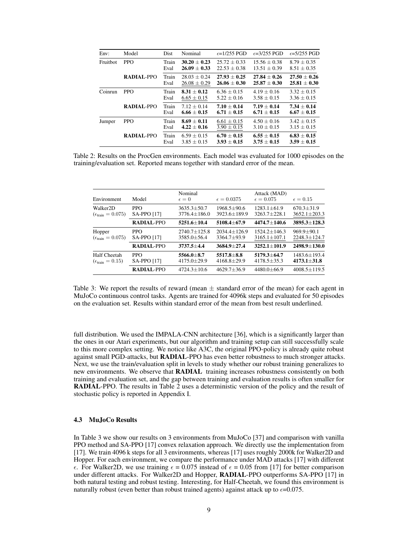| Env:     | Model             | <b>Dist</b>   | Nominal                            | $\epsilon = 1/255$ PGD             | $\epsilon = 3/255$ PGD             | $\epsilon = 5/255$ PGD             |
|----------|-------------------|---------------|------------------------------------|------------------------------------|------------------------------------|------------------------------------|
| Fruitbot | <b>PPO</b>        | Train<br>Eval | $30.20 + 0.23$<br>$26.09 + 0.33$   | $25.72 + 0.33$<br>$22.53 + 0.38$   | $15.56 + 0.38$<br>$13.51 \pm 0.39$ | $8.79 + 0.35$<br>$8.51 \pm 0.35$   |
|          | <b>RADIAL-PPO</b> | Train<br>Eval | $28.03 + 0.24$<br>$26.08 \pm 0.29$ | $27.93 + 0.25$<br>$26.06 + 0.30$   | $27.84 + 0.26$<br>$25.87 + 0.30$   | $27.50 + 0.26$<br>$25.81 \pm 0.30$ |
| Coinrun  | <b>PPO</b>        | Train<br>Eval | $8.31 + 0.12$<br>$6.65 \pm 0.15$   | $6.36 + 0.15$<br>$5.22 + 0.16$     | $4.19 + 0.16$<br>$3.58 + 0.15$     | $3.32 + 0.15$<br>$3.36 + 0.15$     |
|          | <b>RADIAL-PPO</b> | Train<br>Eval | $7.12 + 0.14$<br>$6.66 \pm 0.15$   | $7.10 + 0.14$<br>$6.71 + 0.15$     | $7.19 \pm 0.14$<br>$6.71 + 0.15$   | $7.34 + 0.14$<br>$6.67 + 0.15$     |
| Jumper   | <b>PPO</b>        | Train<br>Eval | $8.69 + 0.11$<br>$4.22 + 0.16$     | $6.61 \pm 0.15$<br>$3.90 \pm 0.15$ | $4.50 + 0.16$<br>$3.10 + 0.15$     | $3.42 + 0.15$<br>$3.15 + 0.15$     |
|          | <b>RADIAL-PPO</b> | Train<br>Eval | $6.59 + 0.15$<br>$3.85 \pm 0.15$   | $6.70 \pm 0.15$<br>$3.93 + 0.15$   | $6.55 \pm 0.15$<br>$3.75 + 0.15$   | $6.83 \pm 0.15$<br>$3.59 \pm 0.15$ |

Table 2: Results on the ProcGen environments. Each model was evaluated for 1000 episodes on the training/evaluation set. Reported means together with standard error of the mean.

| Environment                                                  | Model                            | Nominal<br>$\epsilon = 0$             | $\epsilon = 0.0375$                 | Attack (MAD)<br>$\epsilon = 0.075$     | $\epsilon = 0.15$                      |
|--------------------------------------------------------------|----------------------------------|---------------------------------------|-------------------------------------|----------------------------------------|----------------------------------------|
| Walker <sub>2</sub> D<br>$(\epsilon_{\text{train}} = 0.075)$ | <b>PPO</b><br><b>SA-PPO [17]</b> | $3635.3 \pm 50.7$<br>$3776.4 + 186.0$ | $1968.5 + 90.6$<br>3923.6±189.9     | $1283.1 + 61.9$<br>$3263.7 + 228.1$    | $670.3 \pm 31.9$<br>$3652.1 \pm 203.3$ |
|                                                              | RADIAL-PPO                       | $5251.6 + 10.4$                       | $5108.4 + 67.9$                     | $4474.7 + 140.6$                       | $3895.3 + 128.3$                       |
| Hopper<br>$(\epsilon_{\text{train}} = 0.075)$                | <b>PPO</b><br><b>SA-PPO [17]</b> | $2740.7 + 125.8$<br>$3585.0 + 56.4$   | $2034.4 + 126.9$<br>$3364.7 + 93.9$ | $1524.2 + 146.3$<br>$3165.1 \pm 107.1$ | $969.9 + 90.1$<br>$2248.3 \pm 124.7$   |
|                                                              | RADIAL-PPO                       | $3737.5 + 4.4$                        | $3684.9 + 27.4$                     | $3252.1 + 101.9$                       | $2498.9 + 130.0$                       |
| Half Cheetah<br>$(\epsilon_{\text{train}} = 0.15)$           | <b>PPO</b><br><b>SA-PPO [17]</b> | 5566.0±8.7<br>$4175.0 \pm 29.9$       | $5517.8 + 8.8$<br>$4168.8 + 29.9$   | $5179.3 + 64.7$<br>$4178.5 + 35.3$     | $1483.6 \pm 193.4$<br>$4173.1 + 31.8$  |
|                                                              | RADIAL-PPO                       | $4724.3 + 10.6$                       | $4629.7 + 36.9$                     | $4480.0 + 66.9$                        | $4008.5 \pm 119.5$                     |
|                                                              |                                  |                                       |                                     |                                        |                                        |

Table 3: We report the results of reward (mean  $\pm$  standard error of the mean) for each agent in MuJoCo continuous control tasks. Agents are trained for 4096k steps and evaluated for 50 episodes on the evaluation set. Results within standard error of the mean from best result underlined.

full distribution. We used the IMPALA-CNN architecture [36], which is a significantly larger than the ones in our Atari experiments, but our algorithm and training setup can still successfully scale to this more complex setting. We notice like A3C, the original PPO-policy is already quite robust against small PGD-attacks, but RADIAL-PPO has even better robustness to much stronger attacks. Next, we use the train/evaluation split in levels to study whether our robust training generalizes to new environments. We observe that RADIAL training increases robustness consistently on both training and evaluation set, and the gap between training and evaluation results is often smaller for RADIAL-PPO. The results in Table 2 uses a deterministic version of the policy and the result of stochastic policy is reported in Appendix I.

#### 4.3 MuJoCo Results

In Table 3 we show our results on 3 environments from MuJoCo [37] and comparison with vanilla PPO method and SA-PPO [17] convex relaxation approach. We directly use the implementation from [17]. We train 4096 k steps for all 3 environments, whereas [17] uses roughly 2000k for Walker2D and Hopper. For each environment, we compare the performance under MAD attacks [17] with different  $\epsilon$ . For Walker2D, we use training  $\epsilon = 0.075$  instead of  $\epsilon = 0.05$  from [17] for better comparison under different attacks. For Walker2D and Hopper, RADIAL-PPO outperforms SA-PPO [17] in both natural testing and robust testing. Interesting, for Half-Cheetah, we found this environment is naturally robust (even better than robust trained agents) against attack up to  $\epsilon$ =0.075.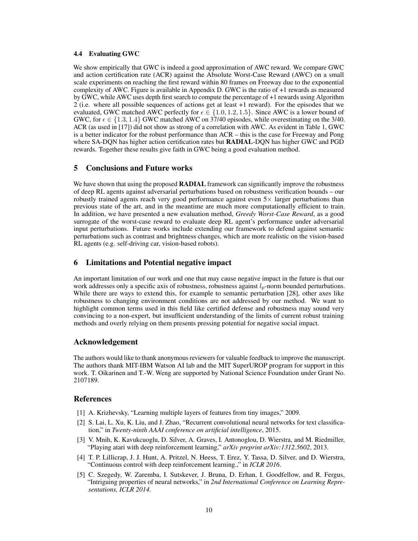#### 4.4 Evaluating GWC

We show empirically that GWC is indeed a good approximation of AWC reward. We compare GWC and action certification rate (ACR) against the Absolute Worst-Case Reward (AWC) on a small scale experiments on reaching the first reward within 80 frames on Freeway due to the exponential complexity of AWC. Figure is available in Appendix D. GWC is the ratio of +1 rewards as measured by GWC, while AWC uses depth first search to compute the percentage of +1 rewards using Algorithm 2 (i.e. where all possible sequences of actions get at least +1 reward). For the episodes that we evaluated, GWC matched AWC perfectly for  $\epsilon \in \{1.0, 1.2, 1.5\}$ . Since AWC is a lower bound of GWC, for  $\epsilon \in \{1.3, 1.4\}$  GWC matched AWC on 37/40 episodes, while overestimating on the 3/40. ACR (as used in [17]) did not show as strong of a correlation with AWC. As evident in Table 1, GWC is a better indicator for the robust performance than ACR – this is the case for Freeway and Pong where SA-DQN has higher action certification rates but RADIAL-DQN has higher GWC and PGD rewards. Together these results give faith in GWC being a good evaluation method.

## 5 Conclusions and Future works

We have shown that using the proposed **RADIAL** framework can significantly improve the robustness of deep RL agents against adversarial perturbations based on robustness verification bounds – our robustly trained agents reach very good performance against even  $5\times$  larger perturbations than previous state of the art, and in the meantime are much more computationally efficient to train. In addition, we have presented a new evaluation method, *Greedy Worst-Case Reward*, as a good surrogate of the worst-case reward to evaluate deep RL agent's performance under adversarial input perturbations. Future works include extending our framework to defend against semantic perturbations such as contrast and brightness changes, which are more realistic on the vision-based RL agents (e.g. self-driving car, vision-based robots).

## 6 Limitations and Potential negative impact

An important limitation of our work and one that may cause negative impact in the future is that our work addresses only a specific axis of robustness, robustness against  $l_p$ -norm bounded perturbations. While there are ways to extend this, for example to semantic perturbation [28], other axes like robustness to changing environment conditions are not addressed by our method. We want to highlight common terms used in this field like certified defense and robustness may sound very convincing to a non-expert, but insufficient understanding of the limits of current robust training methods and overly relying on them presents pressing potential for negative social impact.

## Acknowledgement

The authors would like to thank anonymous reviewers for valuable feedback to improve the manuscript. The authors thank MIT-IBM Watson AI lab and the MIT SuperUROP program for support in this work. T. Oikarinen and T.-W. Weng are supported by National Science Foundation under Grant No. 2107189.

## References

- [1] A. Krizhevsky, "Learning multiple layers of features from tiny images," 2009.
- [2] S. Lai, L. Xu, K. Liu, and J. Zhao, "Recurrent convolutional neural networks for text classification," in *Twenty-ninth AAAI conference on artificial intelligence*, 2015.
- [3] V. Mnih, K. Kavukcuoglu, D. Silver, A. Graves, I. Antonoglou, D. Wierstra, and M. Riedmiller, "Playing atari with deep reinforcement learning," *arXiv preprint arXiv:1312.5602*, 2013.
- [4] T. P. Lillicrap, J. J. Hunt, A. Pritzel, N. Heess, T. Erez, Y. Tassa, D. Silver, and D. Wierstra, "Continuous control with deep reinforcement learning.," in *ICLR 2016*.
- [5] C. Szegedy, W. Zaremba, I. Sutskever, J. Bruna, D. Erhan, I. Goodfellow, and R. Fergus, "Intriguing properties of neural networks," in *2nd International Conference on Learning Representations, ICLR 2014*.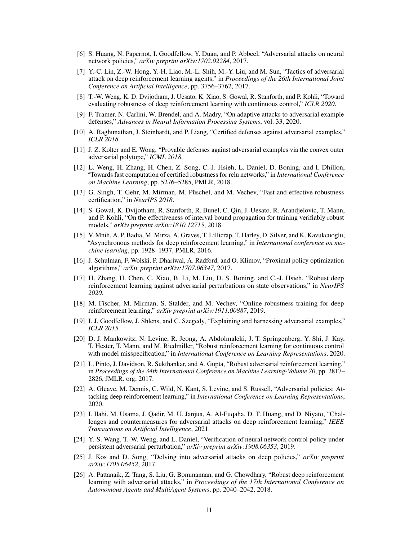- [6] S. Huang, N. Papernot, I. Goodfellow, Y. Duan, and P. Abbeel, "Adversarial attacks on neural network policies," *arXiv preprint arXiv:1702.02284*, 2017.
- [7] Y.-C. Lin, Z.-W. Hong, Y.-H. Liao, M.-L. Shih, M.-Y. Liu, and M. Sun, "Tactics of adversarial attack on deep reinforcement learning agents," in *Proceedings of the 26th International Joint Conference on Artificial Intelligence*, pp. 3756–3762, 2017.
- [8] T.-W. Weng, K. D. Dvijotham, J. Uesato, K. Xiao, S. Gowal, R. Stanforth, and P. Kohli, "Toward evaluating robustness of deep reinforcement learning with continuous control," *ICLR 2020*.
- [9] F. Tramer, N. Carlini, W. Brendel, and A. Madry, "On adaptive attacks to adversarial example defenses," *Advances in Neural Information Processing Systems*, vol. 33, 2020.
- [10] A. Raghunathan, J. Steinhardt, and P. Liang, "Certified defenses against adversarial examples," *ICLR 2018*.
- [11] J. Z. Kolter and E. Wong, "Provable defenses against adversarial examples via the convex outer adversarial polytope," *ICML 2018*.
- [12] L. Weng, H. Zhang, H. Chen, Z. Song, C.-J. Hsieh, L. Daniel, D. Boning, and I. Dhillon, "Towards fast computation of certified robustness for relu networks," in *International Conference on Machine Learning*, pp. 5276–5285, PMLR, 2018.
- [13] G. Singh, T. Gehr, M. Mirman, M. Püschel, and M. Vechev, "Fast and effective robustness certification," in *NeurIPS 2018*.
- [14] S. Gowal, K. Dvijotham, R. Stanforth, R. Bunel, C. Qin, J. Uesato, R. Arandjelovic, T. Mann, and P. Kohli, "On the effectiveness of interval bound propagation for training verifiably robust models," *arXiv preprint arXiv:1810.12715*, 2018.
- [15] V. Mnih, A. P. Badia, M. Mirza, A. Graves, T. Lillicrap, T. Harley, D. Silver, and K. Kavukcuoglu, "Asynchronous methods for deep reinforcement learning," in *International conference on machine learning*, pp. 1928–1937, PMLR, 2016.
- [16] J. Schulman, F. Wolski, P. Dhariwal, A. Radford, and O. Klimov, "Proximal policy optimization algorithms," *arXiv preprint arXiv:1707.06347*, 2017.
- [17] H. Zhang, H. Chen, C. Xiao, B. Li, M. Liu, D. S. Boning, and C.-J. Hsieh, "Robust deep reinforcement learning against adversarial perturbations on state observations," in *NeurIPS 2020*.
- [18] M. Fischer, M. Mirman, S. Stalder, and M. Vechev, "Online robustness training for deep reinforcement learning," *arXiv preprint arXiv:1911.00887*, 2019.
- [19] I. J. Goodfellow, J. Shlens, and C. Szegedy, "Explaining and harnessing adversarial examples," *ICLR 2015*.
- [20] D. J. Mankowitz, N. Levine, R. Jeong, A. Abdolmaleki, J. T. Springenberg, Y. Shi, J. Kay, T. Hester, T. Mann, and M. Riedmiller, "Robust reinforcement learning for continuous control with model misspecification," in *International Conference on Learning Representations*, 2020.
- [21] L. Pinto, J. Davidson, R. Sukthankar, and A. Gupta, "Robust adversarial reinforcement learning," in *Proceedings of the 34th International Conference on Machine Learning-Volume 70*, pp. 2817– 2826, JMLR. org, 2017.
- [22] A. Gleave, M. Dennis, C. Wild, N. Kant, S. Levine, and S. Russell, "Adversarial policies: Attacking deep reinforcement learning," in *International Conference on Learning Representations*, 2020.
- [23] I. Ilahi, M. Usama, J. Qadir, M. U. Janjua, A. Al-Fuqaha, D. T. Huang, and D. Niyato, "Challenges and countermeasures for adversarial attacks on deep reinforcement learning," *IEEE Transactions on Artificial Intelligence*, 2021.
- [24] Y.-S. Wang, T.-W. Weng, and L. Daniel, "Verification of neural network control policy under persistent adversarial perturbation," *arXiv preprint arXiv:1908.06353*, 2019.
- [25] J. Kos and D. Song, "Delving into adversarial attacks on deep policies," *arXiv preprint arXiv:1705.06452*, 2017.
- [26] A. Pattanaik, Z. Tang, S. Liu, G. Bommannan, and G. Chowdhary, "Robust deep reinforcement learning with adversarial attacks," in *Proceedings of the 17th International Conference on Autonomous Agents and MultiAgent Systems*, pp. 2040–2042, 2018.